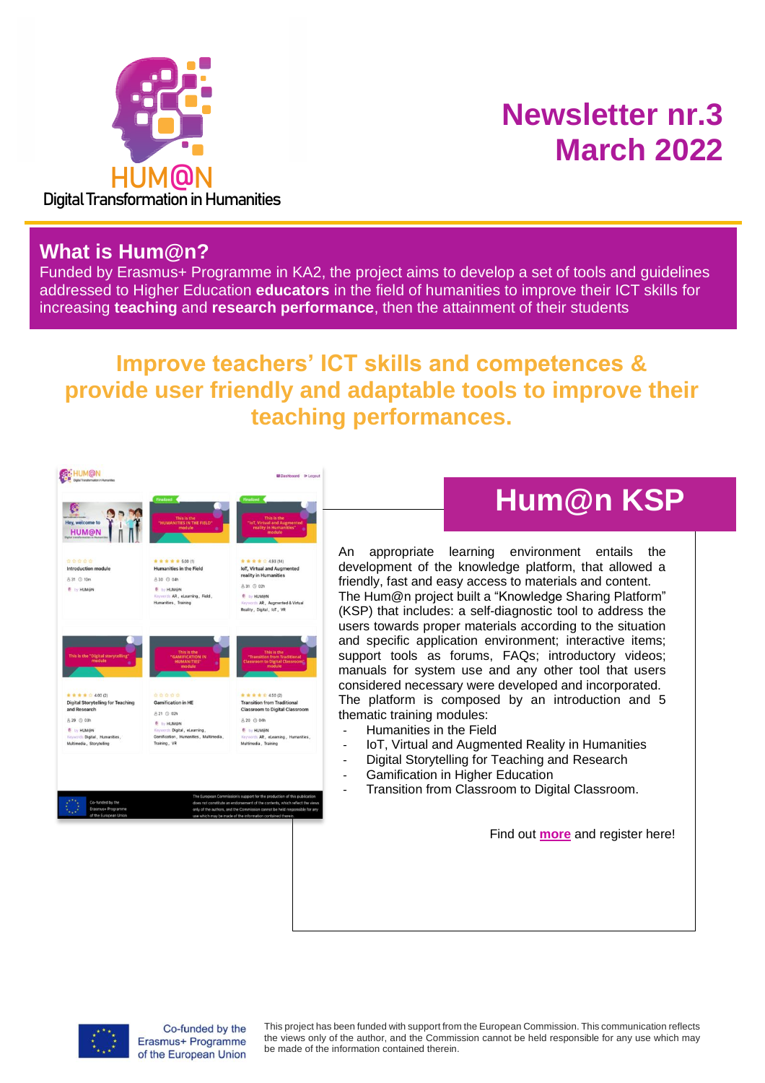

## **Newsletter nr.3 March 2022**

#### **What is Hum@n?**

Funded by Erasmus+ Programme in KA2, the project aims to develop a set of tools and guidelines addressed to Higher Education **educators** in the field of humanities to improve their ICT skills for increasing **teaching** and **research performance**, then the attainment of their students

#### **Improve teachers' ICT skills and competences & provide user friendly and adaptable tools to improve their teaching performances.**



#### **Hum@n KSP**

appropriate learning environment entails the development of the knowledge platform, that allowed a friendly, fast and easy access to materials and content. The Hum@n project built a "Knowledge Sharing Platform" (KSP) that includes: a self-diagnostic tool to address the users towards proper materials according to the situation and specific application environment; interactive items; support tools as forums, FAQs; introductory videos; manuals for system use and any other tool that users considered necessary were developed and incorporated. The platform is composed by an introduction and 5 thematic training modules:

- Humanities in the Field
- IoT, Virtual and Augmented Reality in Humanities
- Digital Storytelling for Teaching and Research
- Gamification in Higher Education
- Transition from Classroom to Digital Classroom.

Find out **[more](https://ksp.digihuman.eu/)** and register here!



Co-funded by the Erasmus+ Programme of the European Union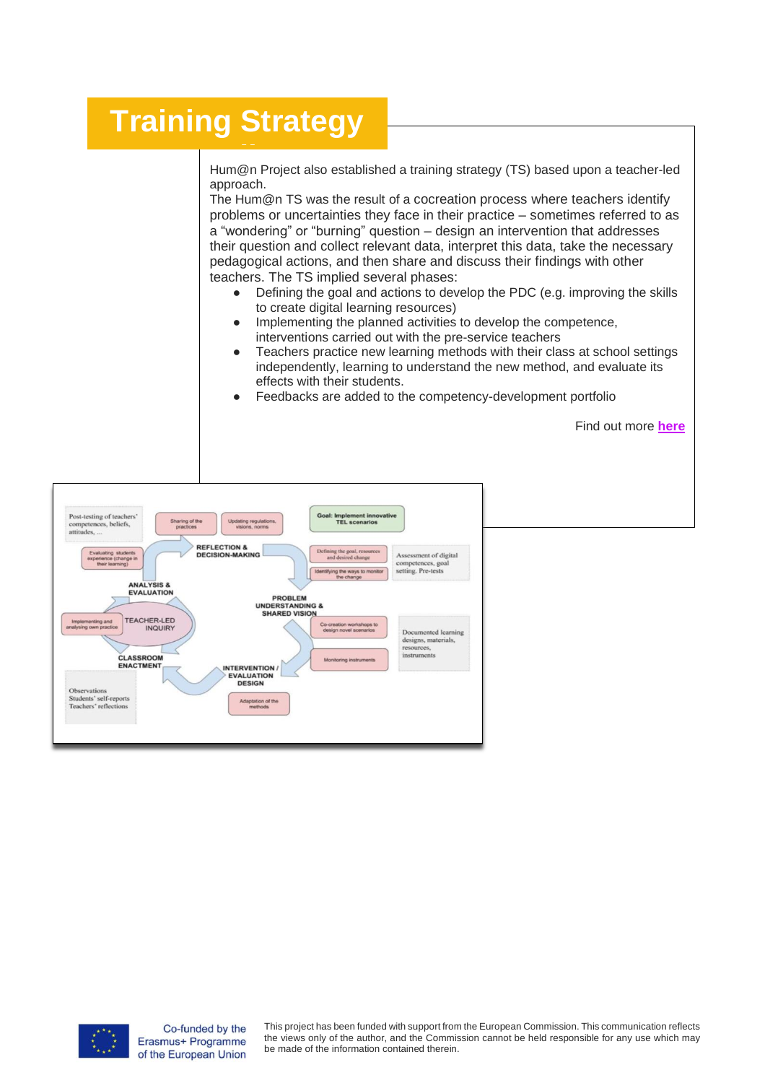#### **Training Strategy**

Hum@n Project also established a training strategy (TS) based upon a teacher-led approach.

approach.<br>The Hum@n TS was the result of a cocreation process where teachers identify problems or uncertainties they face in their practice – sometimes referred to as a "wondering" or "burning" question – design an intervention that addresses their question and collect relevant data, interpret this data, take the necessary pedagogical actions, and then share and discuss their findings with other teachers. The TS implied several phases:

- Defining the goal and actions to develop the PDC (e.g. improving the skills to create digital learning resources)
- Implementing the planned activities to develop the competence, interventions carried out with the pre-service teachers
- Teachers practice new learning methods with their class at school settings independently, learning to understand the new method, and evaluate its effects with their students.

Find out more **[here](http://www.digihuman.eu/)**

Feedbacks are added to the competency-development portfolio

Post-testing of teachers'<br>competences, beliefs, Goal: Implement inno<br>TEL scenarios Sharing of the<br>practices Updating re ides. **REFLECTION &** DECISION-MAKING Acces ment of digital petences, goal<br>ing. Pre-tests ANALYSIS &<br>EVALUATION PROBLEM **IINDERSTANDING &** SHARED VISION TEACHERJ ED INQUIRY reation workshops t<br>ign novel scenarios Docu ed learning designs, materials, rces, CLASSROOM<br>ENACTMENT Monite **INTERVENTION<br>EVALUATION<br>DESIGN Proports** Observatio ptation of the **goals** 



Co-funded by the Erasmus+ Programme of the European Union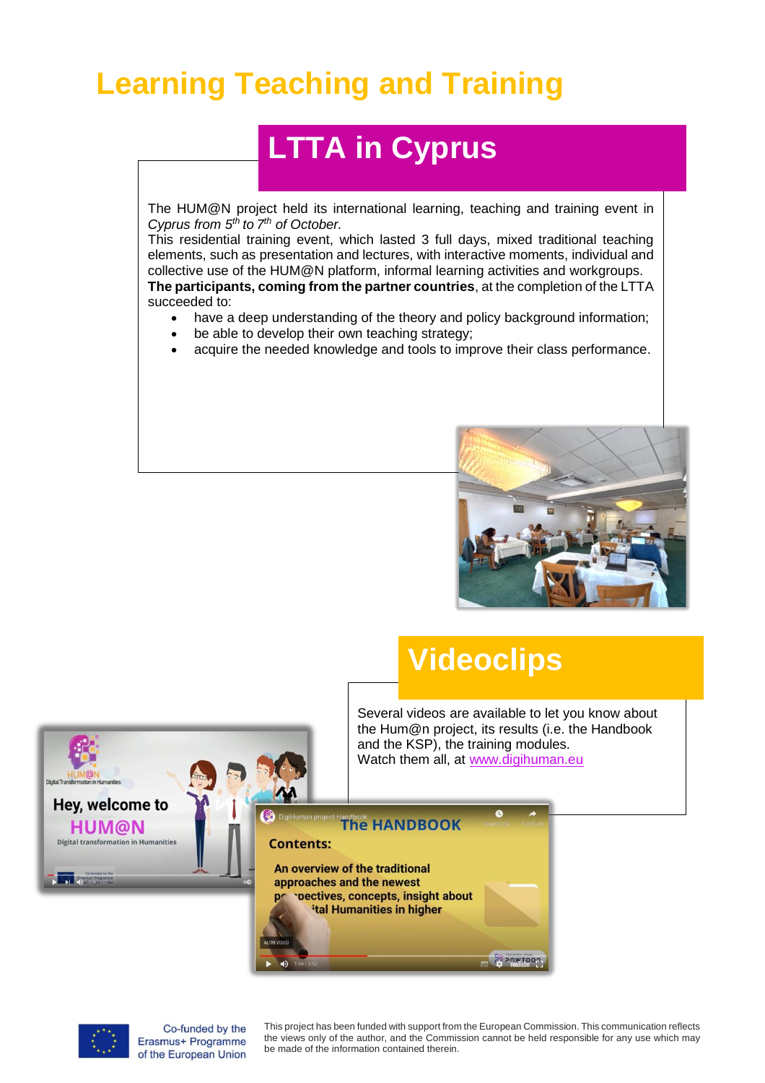#### **Learning Teaching and Training**

## **LTTA in Cyprus**

The HUM@N project held its international learning, teaching and training event in *Cyprus from 5th to 7 th of October.*

This residential training event, which lasted 3 full days, mixed traditional teaching elements, such as presentation and lectures, with interactive moments, individual and collective use of the HUM@N platform, informal learning activities and workgroups. **The participants, coming from the partner countries**, at the completion of the LTTA succeeded to:

- have a deep understanding of the theory and policy background information;
- be able to develop their own teaching strategy;
- acquire the needed knowledge and tools to improve their class performance.



#### **Videoclips**

Several videos are available to let you know about the Hum@n project, its results (i.e. the Handbook and the KSP), the training modules. Watch them all, at [www.digihuman.eu](http://www.digihuman.eu/)



**The HANDBOOK** 

An overview of the traditional approaches and the newest pectives, concepts, insight about ital Humanities in higher



Co-funded by the Erasmus+ Programme of the European Union

This project has been funded with support from the European Commission. This communication reflects the views only of the author, and the Commission cannot be held responsible for any use which may be made of the information contained therein.

POWTOON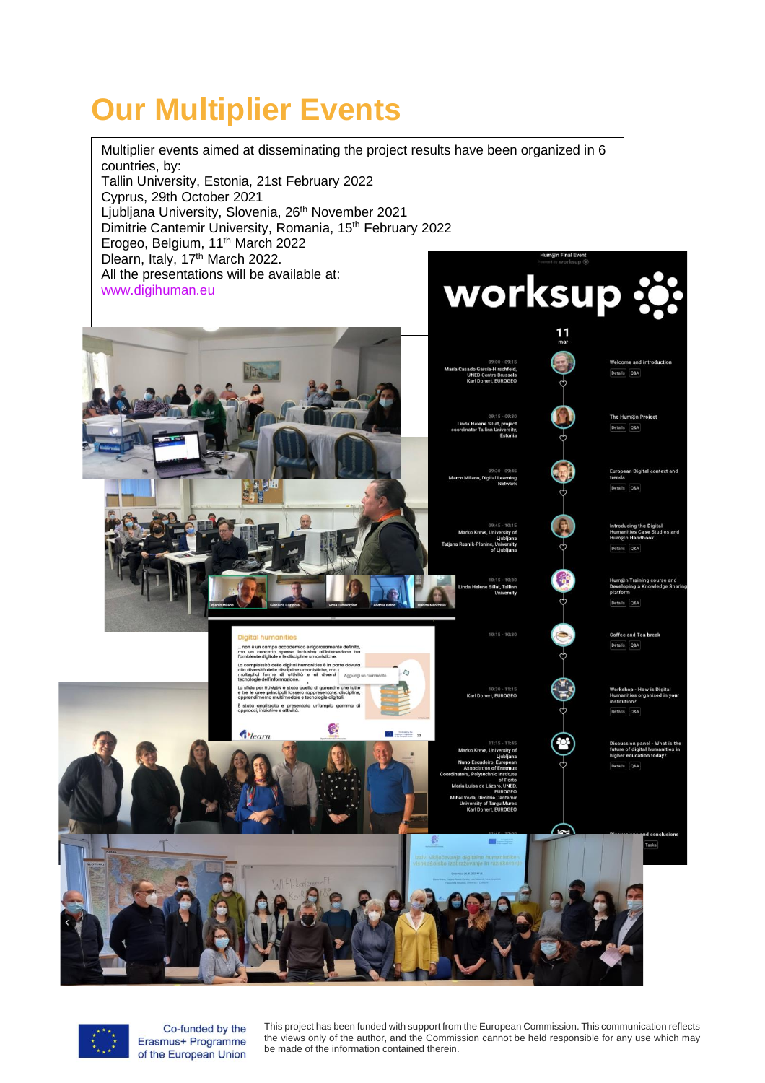# **Our Multiplier Events**





Co-funded by the Erasmus+ Programme of the European Union